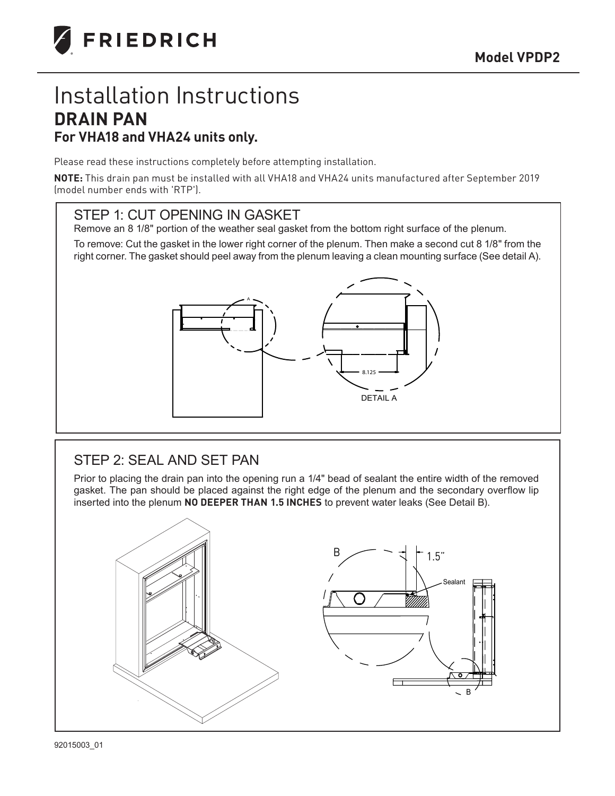

# Installation Instructions **DRAIN PAN For VHA18 and VHA24 units only.**

Please read these instructions completely before attempting installation.

**NOTE:** This drain pan must be installed with all VHA18 and VHA24 units manufactured after September 2019 (model number ends with 'RTP').

#### STEP 1: CUT OPENING IN GASKET

Remove an 8 1/8" portion of the weather seal gasket from the bottom right surface of the plenum.

To remove: Cut the gasket in the lower right corner of the plenum. Then make a second cut 8 1/8" from the right corner. The gasket should peel away from the plenum leaving a clean mounting surface (See detail A).



## STEP 2: SEAL AND SET PAN

Prior to placing the drain pan into the opening run a 1/4" bead of sealant the entire width of the removed gasket. The pan should be placed against the right edge of the plenum and the secondary overflow lip inserted into the plenum **NO DEEPER THAN 1.5 INCHES** to prevent water leaks (See Detail B).

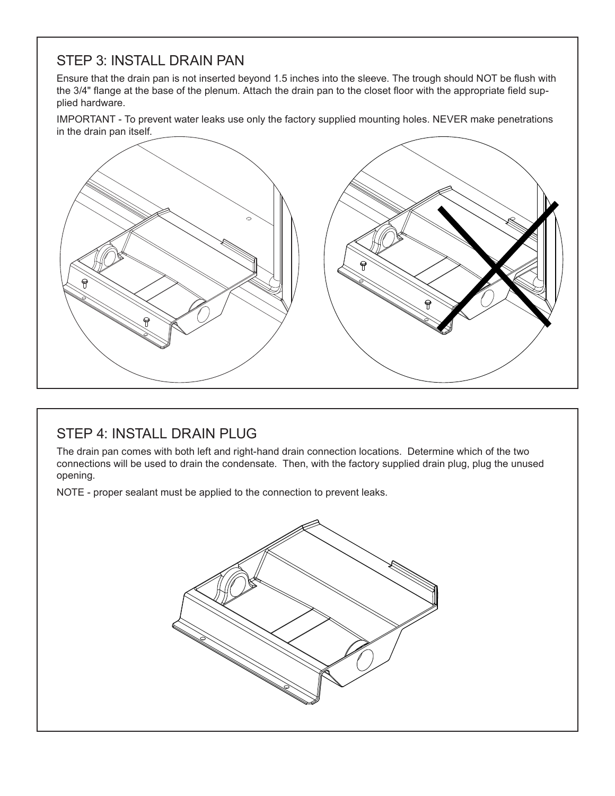#### STEP 3: INSTALL DRAIN PAN

Ensure that the drain pan is not inserted beyond 1.5 inches into the sleeve. The trough should NOT be flush with the 3/4" flange at the base of the plenum. Attach the drain pan to the closet floor with the appropriate field supplied hardware.

IMPORTANT - To prevent water leaks use only the factory supplied mounting holes. NEVER make penetrations in the drain pan itself.



## STEP 4: INSTALL DRAIN PLUG

The drain pan comes with both left and right-hand drain connection locations. Determine which of the two connections will be used to drain the condensate. Then, with the factory supplied drain plug, plug the unused opening.

NOTE - proper sealant must be applied to the connection to prevent leaks.

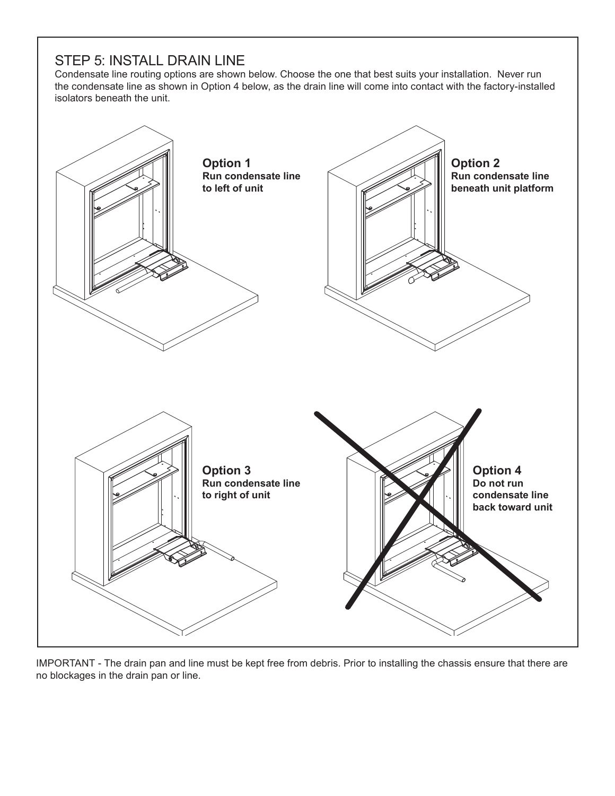#### STEP 5: INSTALL DRAIN LINE

Condensate line routing options are shown below. Choose the one that best suits your installation. Never run the condensate line as shown in Option 4 below, as the drain line will come into contact with the factory-installed isolators beneath the unit.



IMPORTANT - The drain pan and line must be kept free from debris. Prior to installing the chassis ensure that there are no blockages in the drain pan or line.